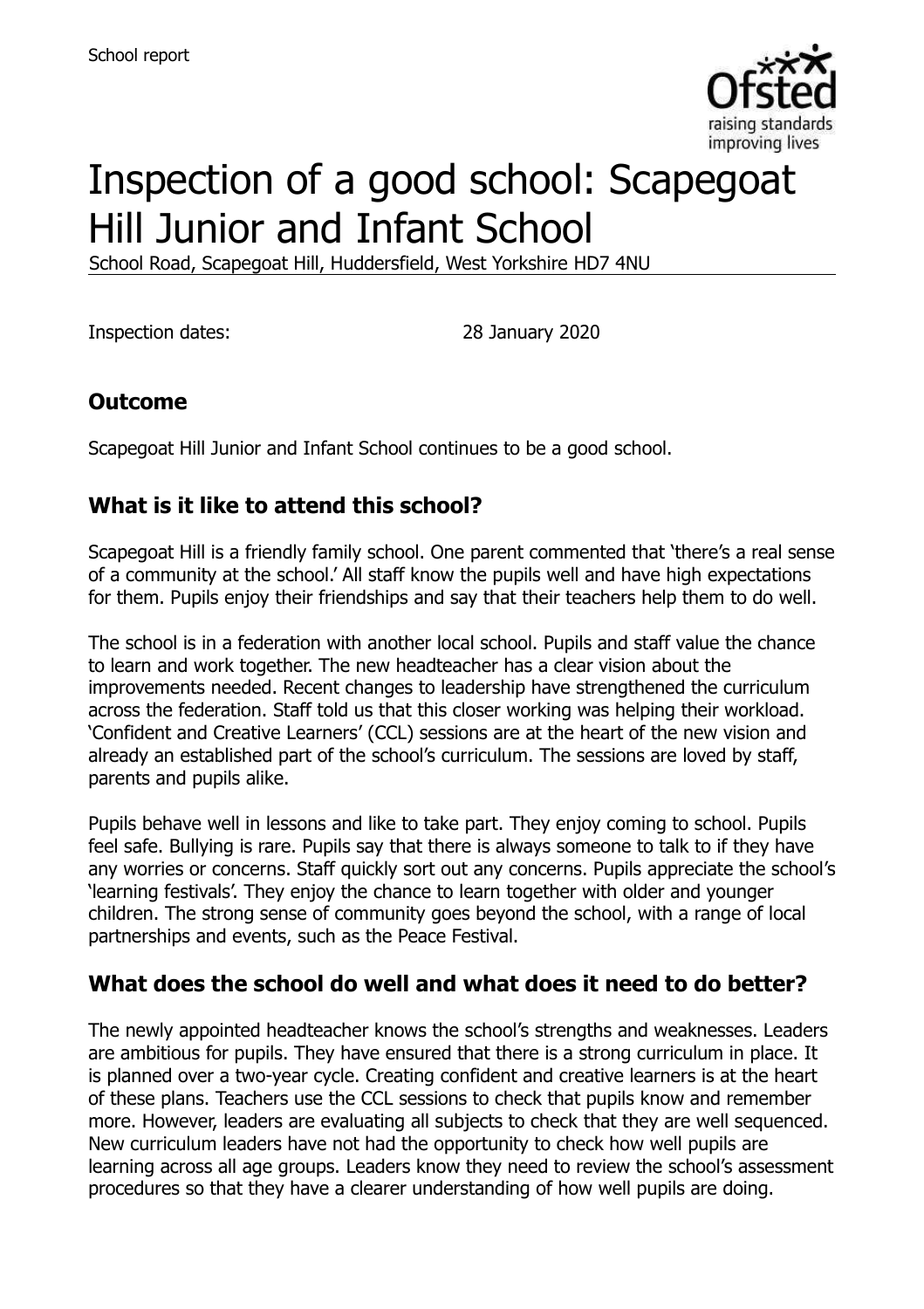

# Inspection of a good school: Scapegoat Hill Junior and Infant School

School Road, Scapegoat Hill, Huddersfield, West Yorkshire HD7 4NU

Inspection dates: 28 January 2020

# **Outcome**

Scapegoat Hill Junior and Infant School continues to be a good school.

#### **What is it like to attend this school?**

Scapegoat Hill is a friendly family school. One parent commented that 'there's a real sense of a community at the school.' All staff know the pupils well and have high expectations for them. Pupils enjoy their friendships and say that their teachers help them to do well.

The school is in a federation with another local school. Pupils and staff value the chance to learn and work together. The new headteacher has a clear vision about the improvements needed. Recent changes to leadership have strengthened the curriculum across the federation. Staff told us that this closer working was helping their workload. 'Confident and Creative Learners' (CCL) sessions are at the heart of the new vision and already an established part of the school's curriculum. The sessions are loved by staff, parents and pupils alike.

Pupils behave well in lessons and like to take part. They enjoy coming to school. Pupils feel safe. Bullying is rare. Pupils say that there is always someone to talk to if they have any worries or concerns. Staff quickly sort out any concerns. Pupils appreciate the school's 'learning festivals'. They enjoy the chance to learn together with older and younger children. The strong sense of community goes beyond the school, with a range of local partnerships and events, such as the Peace Festival.

#### **What does the school do well and what does it need to do better?**

The newly appointed headteacher knows the school's strengths and weaknesses. Leaders are ambitious for pupils. They have ensured that there is a strong curriculum in place. It is planned over a two-year cycle. Creating confident and creative learners is at the heart of these plans. Teachers use the CCL sessions to check that pupils know and remember more. However, leaders are evaluating all subjects to check that they are well sequenced. New curriculum leaders have not had the opportunity to check how well pupils are learning across all age groups. Leaders know they need to review the school's assessment procedures so that they have a clearer understanding of how well pupils are doing.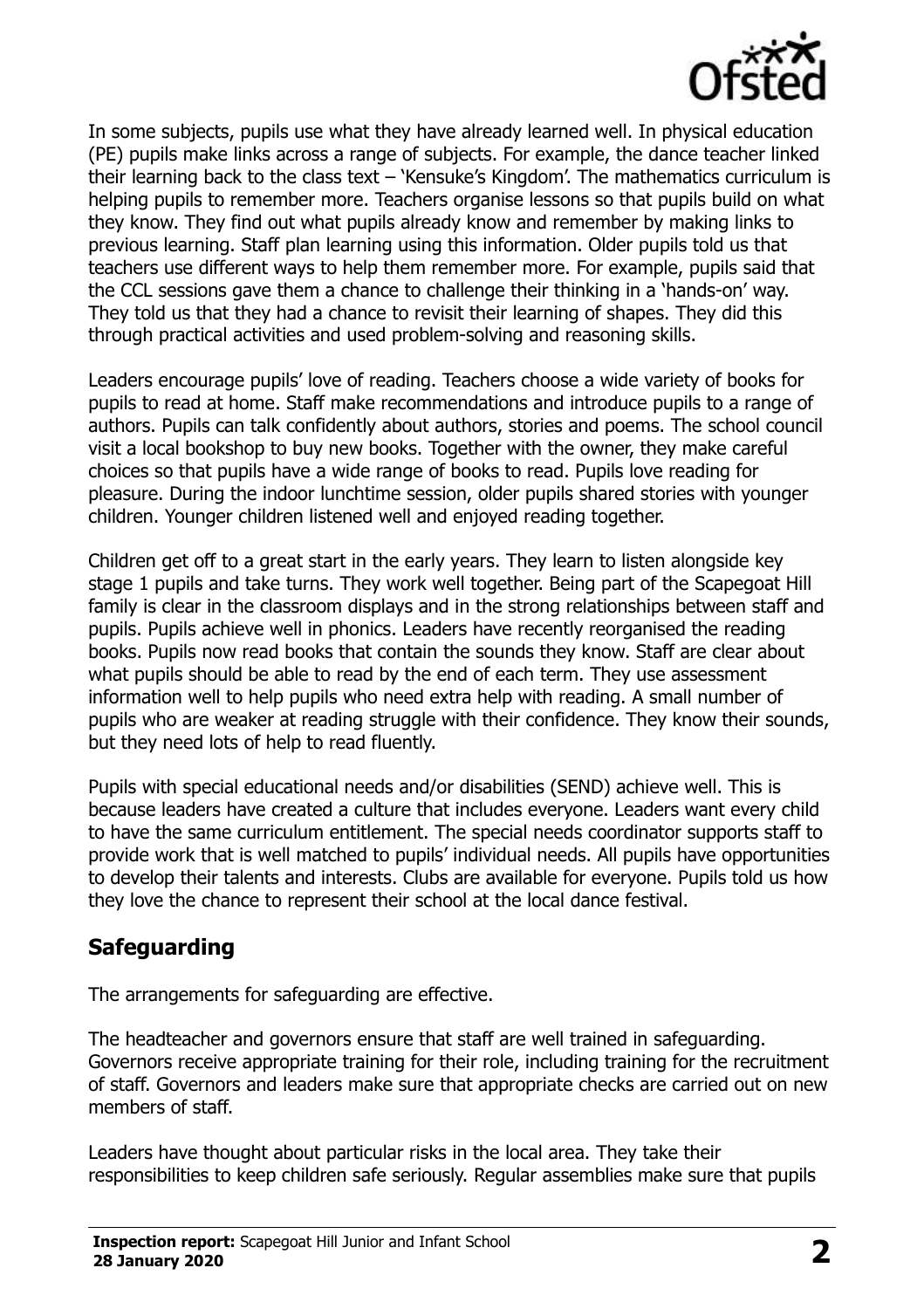

In some subjects, pupils use what they have already learned well. In physical education (PE) pupils make links across a range of subjects. For example, the dance teacher linked their learning back to the class text – 'Kensuke's Kingdom'. The mathematics curriculum is helping pupils to remember more. Teachers organise lessons so that pupils build on what they know. They find out what pupils already know and remember by making links to previous learning. Staff plan learning using this information. Older pupils told us that teachers use different ways to help them remember more. For example, pupils said that the CCL sessions gave them a chance to challenge their thinking in a 'hands-on' way. They told us that they had a chance to revisit their learning of shapes. They did this through practical activities and used problem-solving and reasoning skills.

Leaders encourage pupils' love of reading. Teachers choose a wide variety of books for pupils to read at home. Staff make recommendations and introduce pupils to a range of authors. Pupils can talk confidently about authors, stories and poems. The school council visit a local bookshop to buy new books. Together with the owner, they make careful choices so that pupils have a wide range of books to read. Pupils love reading for pleasure. During the indoor lunchtime session, older pupils shared stories with younger children. Younger children listened well and enjoyed reading together.

Children get off to a great start in the early years. They learn to listen alongside key stage 1 pupils and take turns. They work well together. Being part of the Scapegoat Hill family is clear in the classroom displays and in the strong relationships between staff and pupils. Pupils achieve well in phonics. Leaders have recently reorganised the reading books. Pupils now read books that contain the sounds they know. Staff are clear about what pupils should be able to read by the end of each term. They use assessment information well to help pupils who need extra help with reading. A small number of pupils who are weaker at reading struggle with their confidence. They know their sounds, but they need lots of help to read fluently.

Pupils with special educational needs and/or disabilities (SEND) achieve well. This is because leaders have created a culture that includes everyone. Leaders want every child to have the same curriculum entitlement. The special needs coordinator supports staff to provide work that is well matched to pupils' individual needs. All pupils have opportunities to develop their talents and interests. Clubs are available for everyone. Pupils told us how they love the chance to represent their school at the local dance festival.

#### **Safeguarding**

The arrangements for safeguarding are effective.

The headteacher and governors ensure that staff are well trained in safeguarding. Governors receive appropriate training for their role, including training for the recruitment of staff. Governors and leaders make sure that appropriate checks are carried out on new members of staff.

Leaders have thought about particular risks in the local area. They take their responsibilities to keep children safe seriously. Regular assemblies make sure that pupils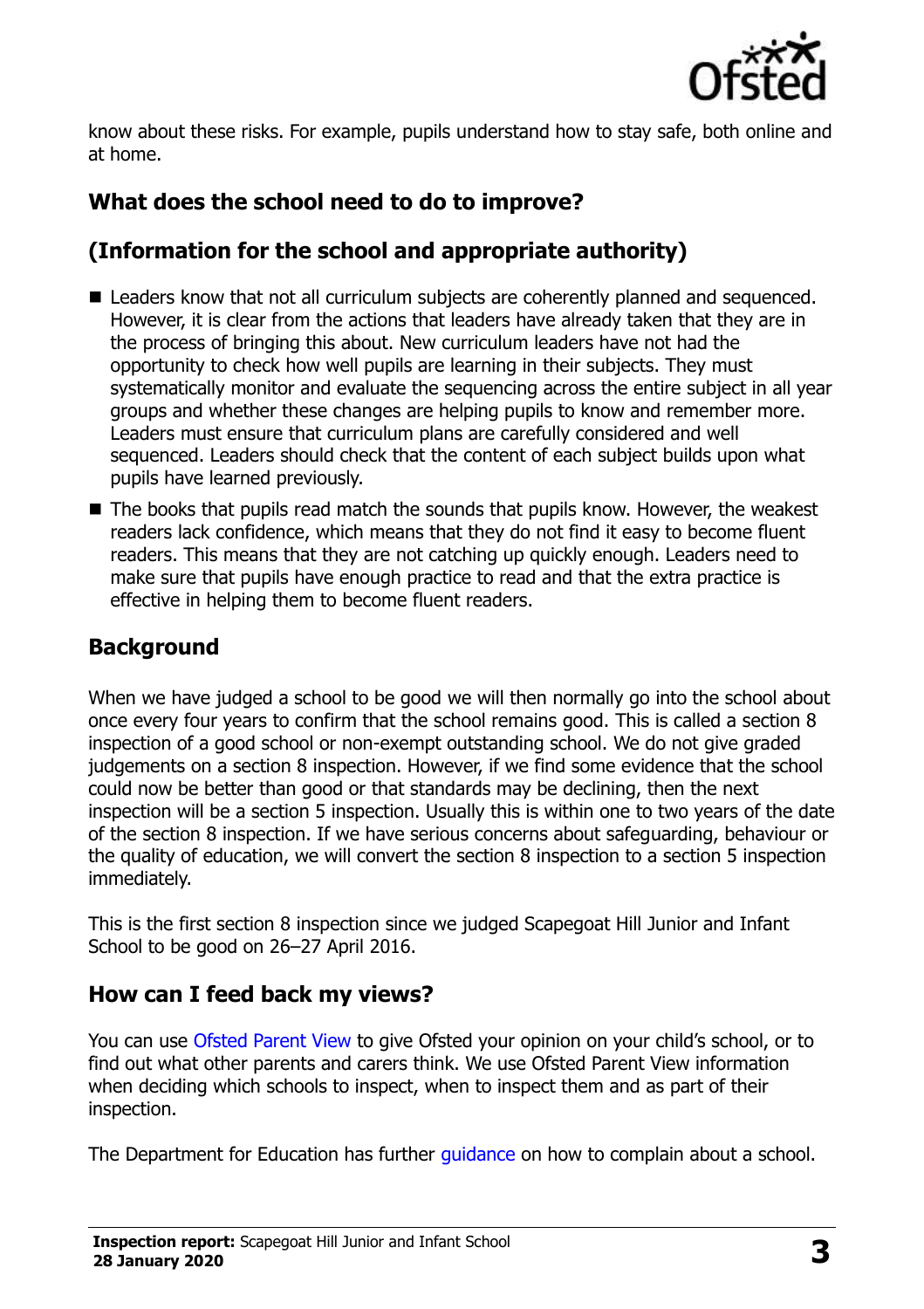

know about these risks. For example, pupils understand how to stay safe, both online and at home.

# **What does the school need to do to improve?**

# **(Information for the school and appropriate authority)**

- Leaders know that not all curriculum subjects are coherently planned and sequenced. However, it is clear from the actions that leaders have already taken that they are in the process of bringing this about. New curriculum leaders have not had the opportunity to check how well pupils are learning in their subjects. They must systematically monitor and evaluate the sequencing across the entire subject in all year groups and whether these changes are helping pupils to know and remember more. Leaders must ensure that curriculum plans are carefully considered and well sequenced. Leaders should check that the content of each subject builds upon what pupils have learned previously.
- $\blacksquare$  The books that pupils read match the sounds that pupils know. However, the weakest readers lack confidence, which means that they do not find it easy to become fluent readers. This means that they are not catching up quickly enough. Leaders need to make sure that pupils have enough practice to read and that the extra practice is effective in helping them to become fluent readers.

# **Background**

When we have judged a school to be good we will then normally go into the school about once every four years to confirm that the school remains good. This is called a section 8 inspection of a good school or non-exempt outstanding school. We do not give graded judgements on a section 8 inspection. However, if we find some evidence that the school could now be better than good or that standards may be declining, then the next inspection will be a section 5 inspection. Usually this is within one to two years of the date of the section 8 inspection. If we have serious concerns about safeguarding, behaviour or the quality of education, we will convert the section 8 inspection to a section 5 inspection immediately.

This is the first section 8 inspection since we judged Scapegoat Hill Junior and Infant School to be good on 26–27 April 2016.

#### **How can I feed back my views?**

You can use [Ofsted Parent View](https://parentview.ofsted.gov.uk/) to give Ofsted your opinion on your child's school, or to find out what other parents and carers think. We use Ofsted Parent View information when deciding which schools to inspect, when to inspect them and as part of their inspection.

The Department for Education has further quidance on how to complain about a school.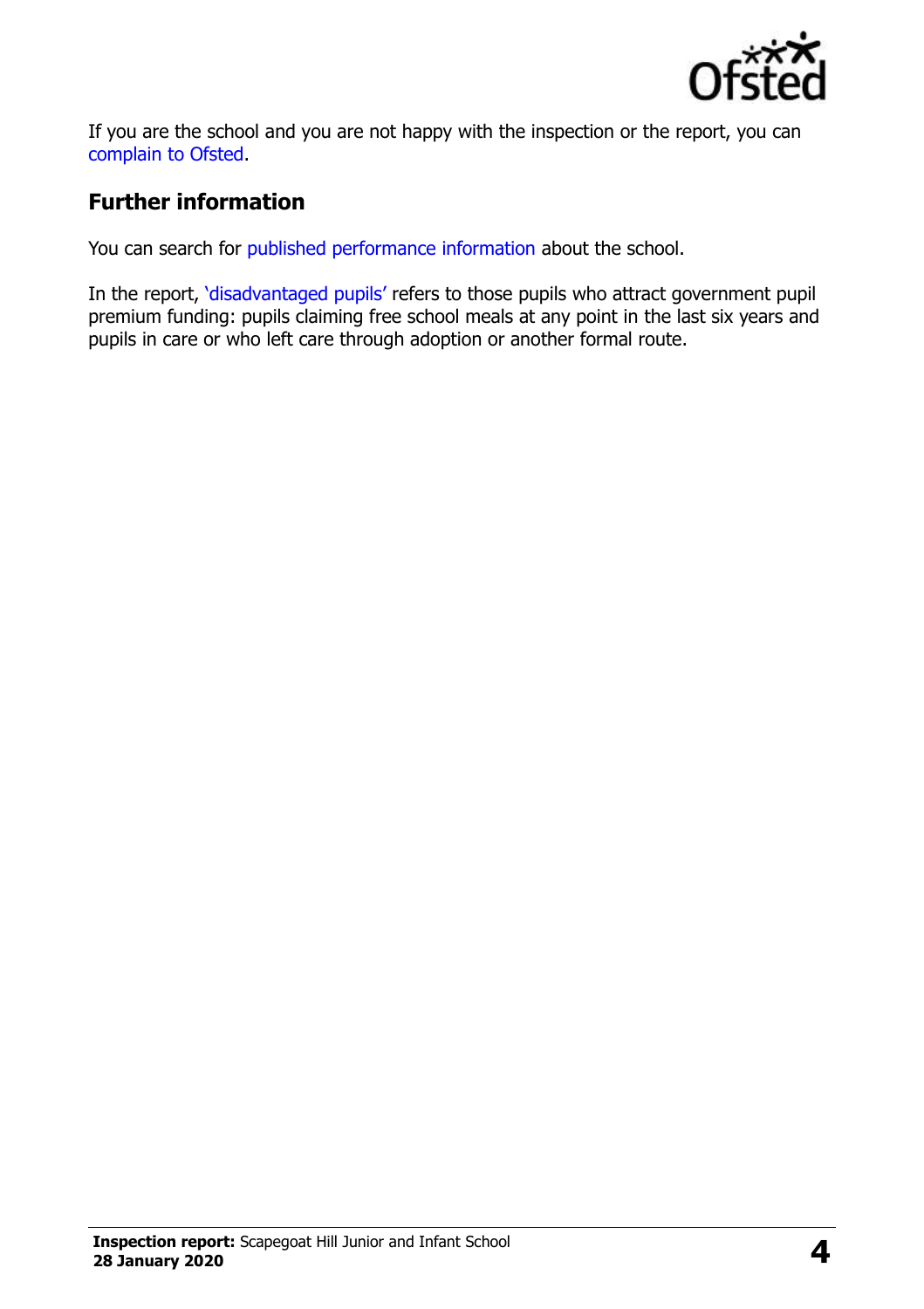

If you are the school and you are not happy with the inspection or the report, you can [complain to Ofsted.](https://www.gov.uk/complain-ofsted-report)

#### **Further information**

You can search for [published performance information](http://www.compare-school-performance.service.gov.uk/) about the school.

In the report, '[disadvantaged pupils](http://www.gov.uk/guidance/pupil-premium-information-for-schools-and-alternative-provision-settings)' refers to those pupils who attract government pupil premium funding: pupils claiming free school meals at any point in the last six years and pupils in care or who left care through adoption or another formal route.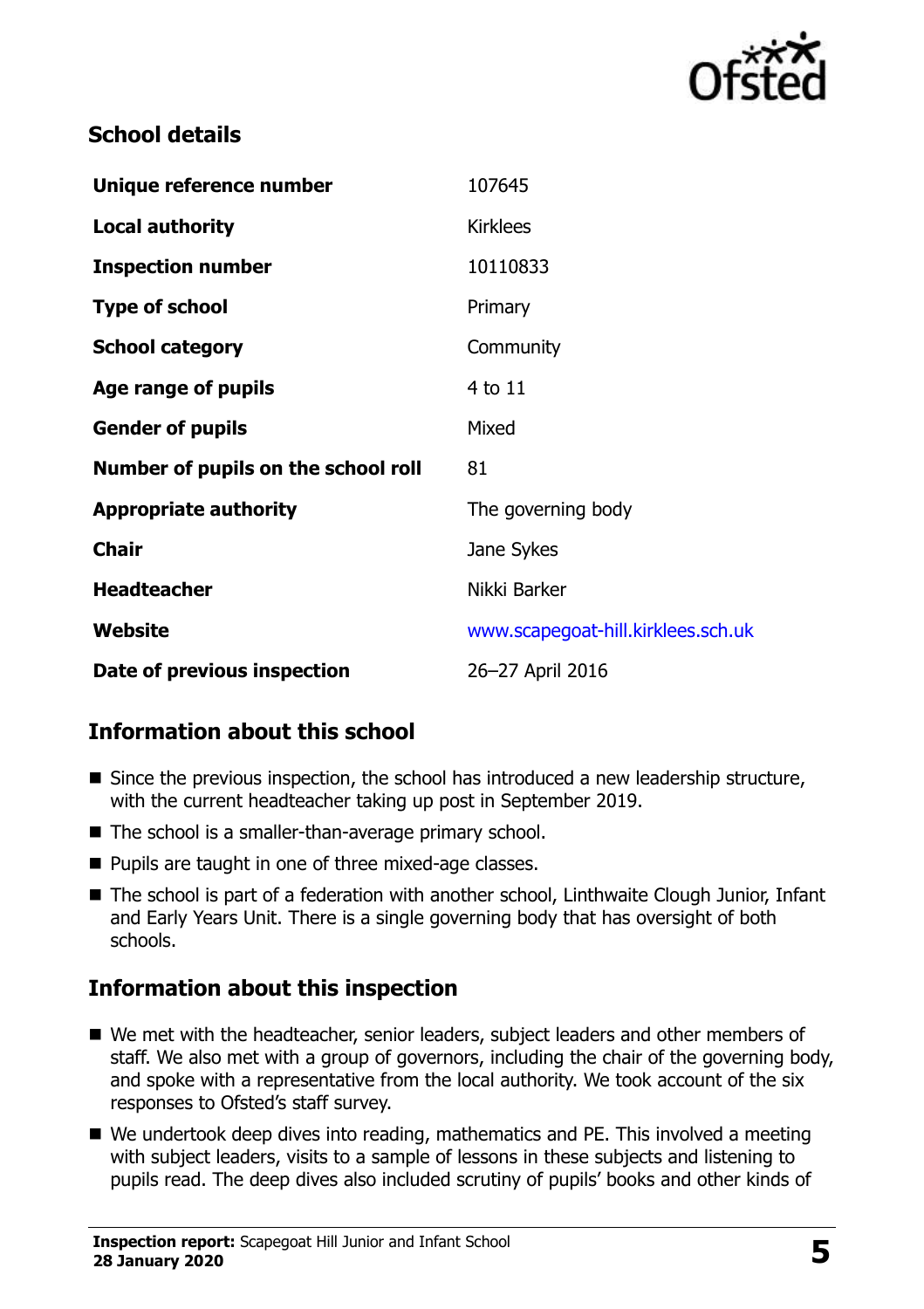

#### **School details**

| Unique reference number             | 107645                             |
|-------------------------------------|------------------------------------|
| <b>Local authority</b>              | <b>Kirklees</b>                    |
| <b>Inspection number</b>            | 10110833                           |
| <b>Type of school</b>               | Primary                            |
| <b>School category</b>              | Community                          |
| Age range of pupils                 | 4 to 11                            |
| <b>Gender of pupils</b>             | Mixed                              |
| Number of pupils on the school roll | 81                                 |
| <b>Appropriate authority</b>        | The governing body                 |
| <b>Chair</b>                        | Jane Sykes                         |
| <b>Headteacher</b>                  | Nikki Barker                       |
| <b>Website</b>                      | www.scapegoat-hill.kirklees.sch.uk |
| Date of previous inspection         | 26-27 April 2016                   |

# **Information about this school**

- Since the previous inspection, the school has introduced a new leadership structure, with the current headteacher taking up post in September 2019.
- The school is a smaller-than-average primary school.
- Pupils are taught in one of three mixed-age classes.
- The school is part of a federation with another school, Linthwaite Clough Junior, Infant and Early Years Unit. There is a single governing body that has oversight of both schools.

# **Information about this inspection**

- We met with the headteacher, senior leaders, subject leaders and other members of staff. We also met with a group of governors, including the chair of the governing body, and spoke with a representative from the local authority. We took account of the six responses to Ofsted's staff survey.
- We undertook deep dives into reading, mathematics and PE. This involved a meeting with subject leaders, visits to a sample of lessons in these subjects and listening to pupils read. The deep dives also included scrutiny of pupils' books and other kinds of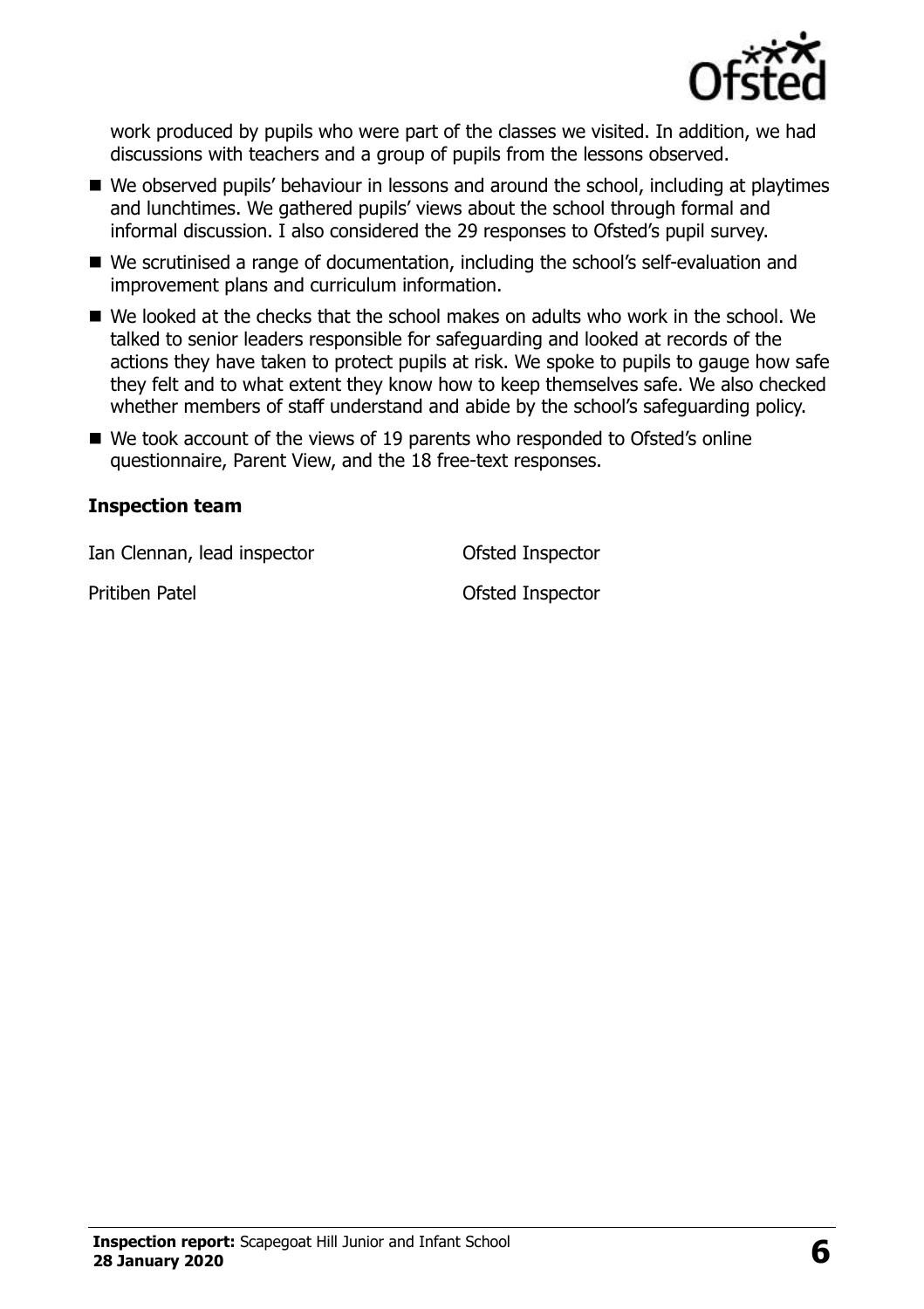

work produced by pupils who were part of the classes we visited. In addition, we had discussions with teachers and a group of pupils from the lessons observed.

- We observed pupils' behaviour in lessons and around the school, including at playtimes and lunchtimes. We gathered pupils' views about the school through formal and informal discussion. I also considered the 29 responses to Ofsted's pupil survey.
- We scrutinised a range of documentation, including the school's self-evaluation and improvement plans and curriculum information.
- We looked at the checks that the school makes on adults who work in the school. We talked to senior leaders responsible for safeguarding and looked at records of the actions they have taken to protect pupils at risk. We spoke to pupils to gauge how safe they felt and to what extent they know how to keep themselves safe. We also checked whether members of staff understand and abide by the school's safeguarding policy.
- We took account of the views of 19 parents who responded to Ofsted's online questionnaire, Parent View, and the 18 free-text responses.

#### **Inspection team**

Ian Clennan, lead inspector Ofsted Inspector

Pritiben Patel **Disk Contact Pritishers** Ofsted Inspector